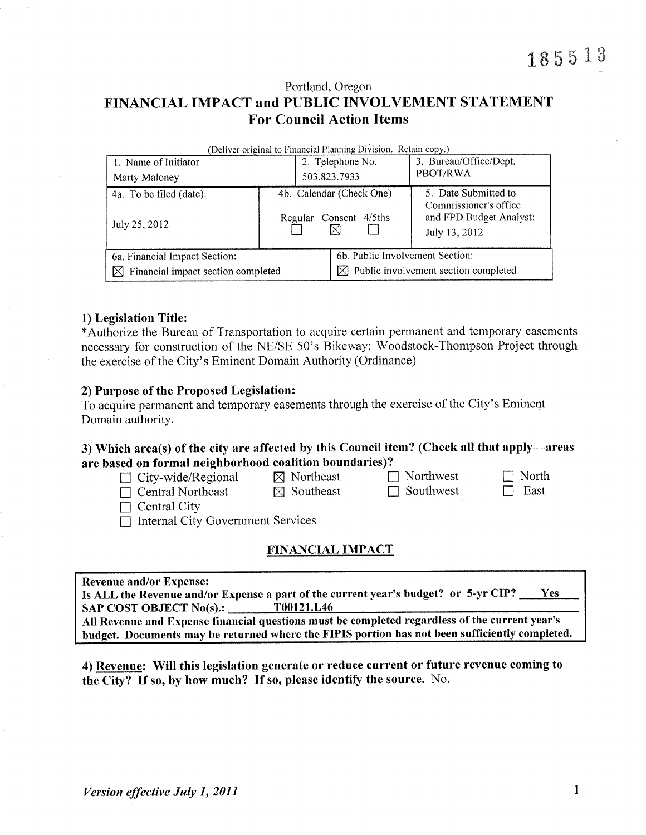Portland, Oregon FINANCIAL IMPACT and PUBLIC INVOLVEMENT STATEMENT **For Council Action Items** 

| (Deliver original to Financial Planning Division. Retain copy.) |  |                                 |                                                                   |  |  |  |  |  |  |
|-----------------------------------------------------------------|--|---------------------------------|-------------------------------------------------------------------|--|--|--|--|--|--|
| 1. Name of Initiator                                            |  | 2. Telephone No.                | 3. Bureau/Office/Dept.                                            |  |  |  |  |  |  |
| Marty Maloney                                                   |  | 503.823.7933                    | PBOT/RWA                                                          |  |  |  |  |  |  |
| 4a. To be filed (date):                                         |  | 4b. Calendar (Check One)        | 5. Date Submitted to                                              |  |  |  |  |  |  |
| July 25, 2012                                                   |  | Consent 4/5ths<br>Regular       | Commissioner's office<br>and FPD Budget Analyst:<br>July 13, 2012 |  |  |  |  |  |  |
| 6a. Financial Impact Section:                                   |  | 6b. Public Involvement Section: |                                                                   |  |  |  |  |  |  |
| $\boxtimes$ Financial impact section completed                  |  | IXI.                            | Public involvement section completed                              |  |  |  |  |  |  |

#### 1) Legislation Title:

\*Authorize the Bureau of Transportation to acquire certain permanent and temporary easements necessary for construction of the NE/SE 50's Bikeway: Woodstock-Thompson Project through the exercise of the City's Eminent Domain Authority (Ordinance)

#### 2) Purpose of the Proposed Legislation:

To acquire permanent and temporary easements through the exercise of the City's Eminent Domain authority.

### 3) Which area(s) of the city are affected by this Council item? (Check all that apply—areas are based on formal neighborhood coalition boundaries)?

| $\Box$ City-wide/Regional                | $\boxtimes$ Northeast | $\Box$ Northwest | $\Box$ North |
|------------------------------------------|-----------------------|------------------|--------------|
| $\Box$ Central Northeast                 | $\boxtimes$ Southeast | $\Box$ Southwest | East         |
| $\Box$ Central City                      |                       |                  |              |
| $\Box$ Internal City Government Services |                       |                  |              |
|                                          |                       |                  |              |

### **FINANCIAL IMPACT**

| Revenue and/or Expense:                  |
|------------------------------------------|
| Le ALL the Dovenue and/or Expense a part |

Is ALL the Revenue and/or Expense a part of the current year's budget? or 5-yr CIP? Ves **SAP COST OBJECT No(s).:** T00121.L46 All Revenue and Expense financial questions must be completed regardless of the current year's

budget. Documents may be returned where the FIPIS portion has not been sufficiently completed.

4) Revenue: Will this legislation generate or reduce current or future revenue coming to the City? If so, by how much? If so, please identify the source. No.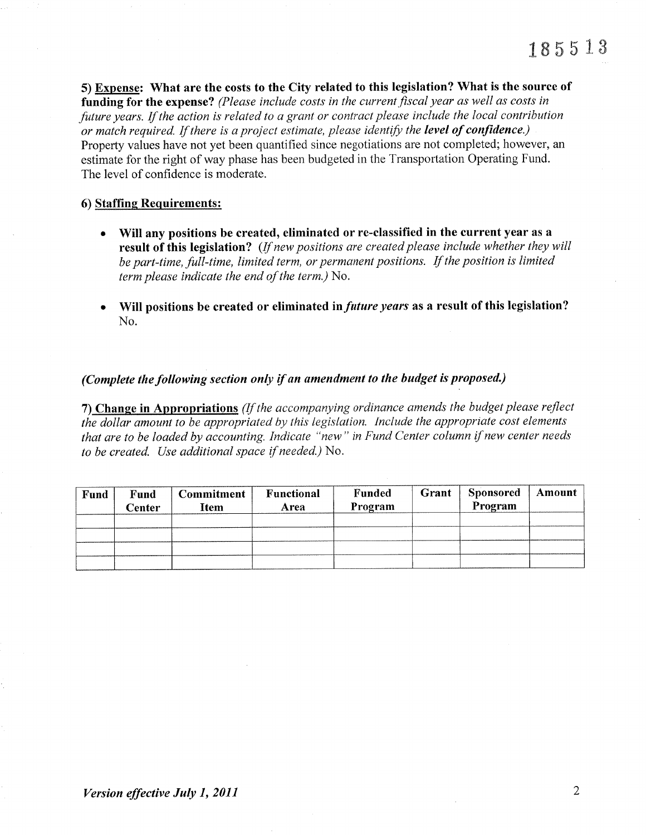5) Expense: What are the costs to the City related to this legislation? What is the source of funding for the expense? (Please include costs in the current fiscal year as well as costs in future years. If the action is related to a grant or contract please include the local contribution or match required. If there is a project estimate, please identify the level of confidence.) Property values have not yet been quantified since negotiations are not completed; however, an estimate for the right of way phase has been budgeted in the Transportation Operating Fund. The level of confidence is moderate.

### 6) Staffing Requirements:

- Will any positions be created, eliminated or re-classified in the current year as a result of this legislation? (If new positions are created please include whether they will be part-time, full-time, limited term, or permanent positions. If the position is limited term please indicate the end of the term.) No.
- Will positions be created or eliminated in *future years* as a result of this legislation? No.

### (Complete the following section only if an amendment to the budget is proposed.)

7) Change in Appropriations (If the accompanying ordinance amends the budget please reflect the dollar amount to be appropriated by this legislation. Include the appropriate cost elements that are to be loaded by accounting. Indicate "new" in Fund Center column if new center needs to be created. Use additional space if needed.) No.

| Fund<br>Center | Commitment<br><b>Item</b> | <b>Functional</b><br>Area | Funded<br>Program | Grant | <b>Sponsored</b><br>Program | Amount |
|----------------|---------------------------|---------------------------|-------------------|-------|-----------------------------|--------|
|                |                           |                           |                   |       |                             |        |
|                |                           |                           |                   |       |                             |        |
|                |                           |                           |                   |       |                             |        |
|                |                           |                           |                   |       |                             |        |